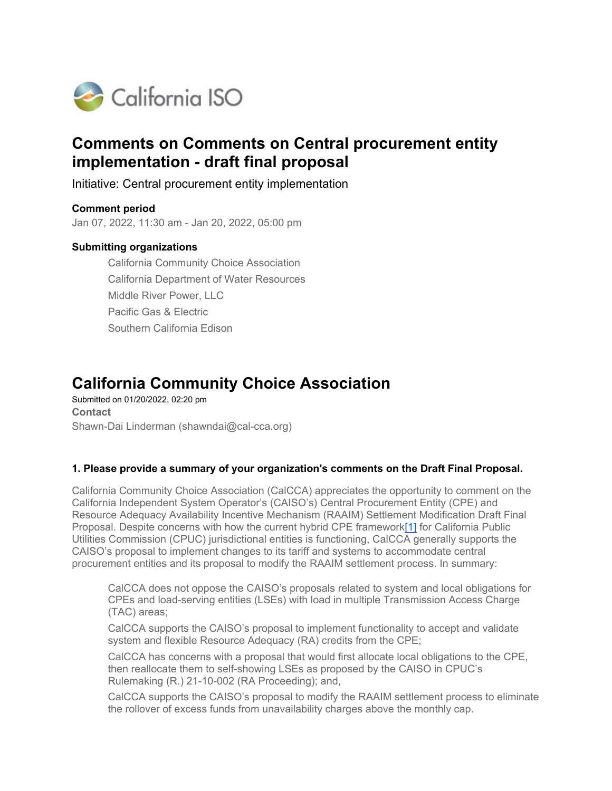

# **Comments on Comments on Central procurement entity implementation - draft final proposal**

Initiative: Central procurement entity implementation

**Comment period** Jan 07, 2022, 11:30 am - Jan 20, 2022, 05:00 pm

# **Submitting organizations**

California Community Choice Association California Department of Water Resources Middle River Power, LLC Pacific Gas & Electric Southern California Edison

# **California Community Choice Association**

Submitted on 01/20/2022, 02:20 pm **Contact** Shawn-Dai Linderman (shawndai@cal-cca.org)

# **1. Please provide a summary of your organization's comments on the Draft Final Proposal.**

California Community Choice Association (CalCCA) appreciates the opportunity to comment on the California Independent System Operator's (CAISO's) Central Procurement Entity (CPE) and Resource Adequacy Availability Incentive Mechanism (RAAIM) Settlement Modification Draft Final Proposal. Despite concerns with how the current hybrid CPE framework[1] for California Public Utilities Commission (CPUC) jurisdictional entities is functioning, CalCCA generally supports the CAISO's proposal to implement changes to its tariff and systems to accommodate central procurement entities and its proposal to modify the RAAIM settlement process. In summary:

CalCCA does not oppose the CAISO's proposals related to system and local obligations for CPEs and load-serving entities (LSEs) with load in multiple Transmission Access Charge (TAC) areas;

CalCCA supports the CAISO's proposal to implement functionality to accept and validate system and flexible Resource Adequacy (RA) credits from the CPE;

CalCCA has concerns with a proposal that would first allocate local obligations to the CPE, then reallocate them to self-showing LSEs as proposed by the CAISO in CPUC's Rulemaking (R.) 21-10-002 (RA Proceeding); and,

CalCCA supports the CAISO's proposal to modify the RAAIM settlement process to eliminate the rollover of excess funds from unavailability charges above the monthly cap.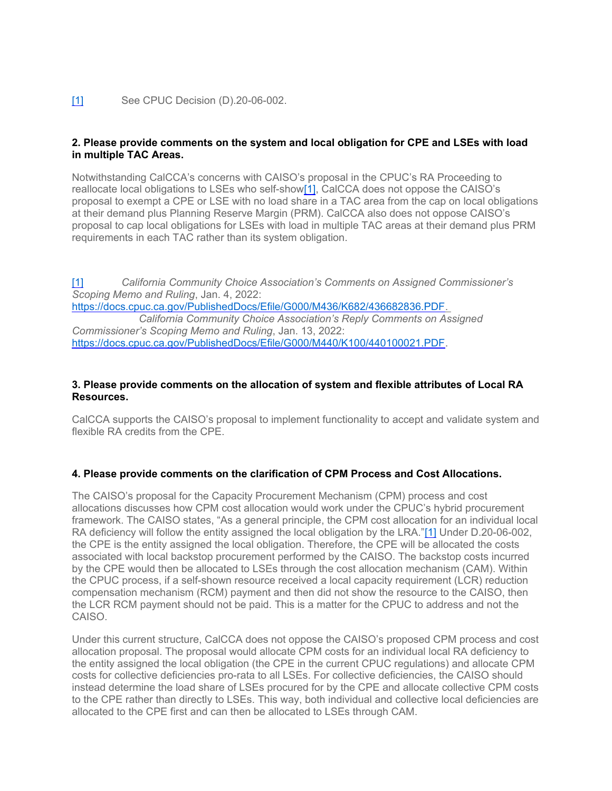#### [1] See CPUC Decision (D).20-06-002.

# **2. Please provide comments on the system and local obligation for CPE and LSEs with load in multiple TAC Areas.**

Notwithstanding CalCCA's concerns with CAISO's proposal in the CPUC's RA Proceeding to reallocate local obligations to LSEs who self-show[1], CalCCA does not oppose the CAISO's proposal to exempt a CPE or LSE with no load share in a TAC area from the cap on local obligations at their demand plus Planning Reserve Margin (PRM). CalCCA also does not oppose CAISO's proposal to cap local obligations for LSEs with load in multiple TAC areas at their demand plus PRM requirements in each TAC rather than its system obligation.

[1] *California Community Choice Association's Comments on Assigned Commissioner's Scoping Memo and Ruling*, Jan. 4, 2022: [https://docs.cpuc.ca.gov/PublishedDocs/Efile/G000/M436/K682/436682836.PDF.](https://docs.cpuc.ca.gov/PublishedDocs/Efile/G000/M436/K682/436682836.PDF)  *California Community Choice Association's Reply Comments on Assigned Commissioner's Scoping Memo and Ruling*, Jan. 13, 2022: [https://docs.cpuc.ca.gov/PublishedDocs/Efile/G000/M440/K100/440100021.PDF.](https://docs.cpuc.ca.gov/PublishedDocs/Efile/G000/M440/K100/440100021.PDF)

#### **3. Please provide comments on the allocation of system and flexible attributes of Local RA Resources.**

CalCCA supports the CAISO's proposal to implement functionality to accept and validate system and flexible RA credits from the CPE.

# **4. Please provide comments on the clarification of CPM Process and Cost Allocations.**

The CAISO's proposal for the Capacity Procurement Mechanism (CPM) process and cost allocations discusses how CPM cost allocation would work under the CPUC's hybrid procurement framework. The CAISO states, "As a general principle, the CPM cost allocation for an individual local RA deficiency will follow the entity assigned the local obligation by the LRA."[1] Under D.20-06-002, the CPE is the entity assigned the local obligation. Therefore, the CPE will be allocated the costs associated with local backstop procurement performed by the CAISO. The backstop costs incurred by the CPE would then be allocated to LSEs through the cost allocation mechanism (CAM). Within the CPUC process, if a self-shown resource received a local capacity requirement (LCR) reduction compensation mechanism (RCM) payment and then did not show the resource to the CAISO, then the LCR RCM payment should not be paid. This is a matter for the CPUC to address and not the CAISO.

Under this current structure, CalCCA does not oppose the CAISO's proposed CPM process and cost allocation proposal. The proposal would allocate CPM costs for an individual local RA deficiency to the entity assigned the local obligation (the CPE in the current CPUC regulations) and allocate CPM costs for collective deficiencies pro-rata to all LSEs. For collective deficiencies, the CAISO should instead determine the load share of LSEs procured for by the CPE and allocate collective CPM costs to the CPE rather than directly to LSEs. This way, both individual and collective local deficiencies are allocated to the CPE first and can then be allocated to LSEs through CAM.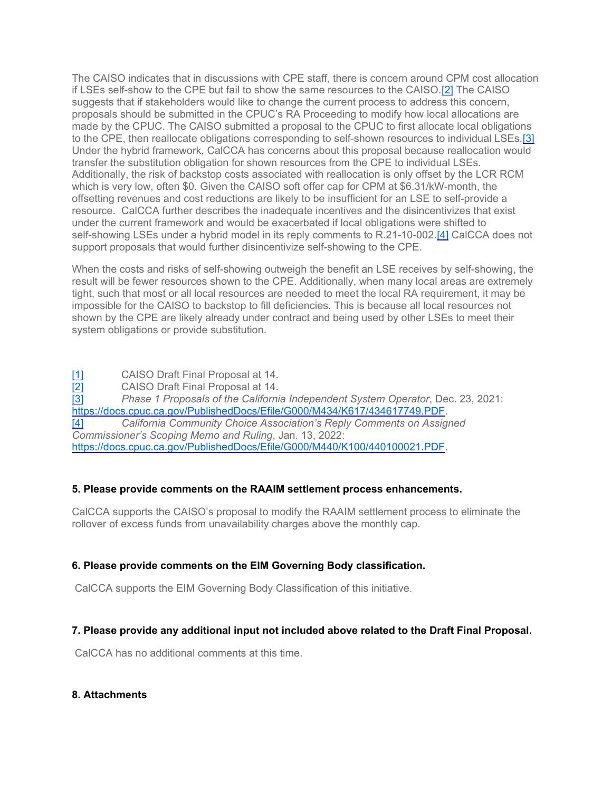The CAISO indicates that in discussions with CPE staff, there is concern around CPM cost allocation if LSEs self-show to the CPE but fail to show the same resources to the CAISO.[2] The CAISO suggests that if stakeholders would like to change the current process to address this concern, proposals should be submitted in the CPUC's RA Proceeding to modify how local allocations are made by the CPUC. The CAISO submitted a proposal to the CPUC to first allocate local obligations to the CPE, then reallocate obligations corresponding to self-shown resources to individual LSEs.[3] Under the hybrid framework, CalCCA has concerns about this proposal because reallocation would transfer the substitution obligation for shown resources from the CPE to individual LSEs. Additionally, the risk of backstop costs associated with reallocation is only offset by the LCR RCM which is very low, often \$0. Given the CAISO soft offer cap for CPM at \$6.31/kW-month, the offsetting revenues and cost reductions are likely to be insufficient for an LSE to self-provide a resource. CalCCA further describes the inadequate incentives and the disincentivizes that exist under the current framework and would be exacerbated if local obligations were shifted to self-showing LSEs under a hybrid model in its reply comments to R.21-10-002.[4] CalCCA does not support proposals that would further disincentivize self-showing to the CPE.

When the costs and risks of self-showing outweigh the benefit an LSE receives by self-showing, the result will be fewer resources shown to the CPE. Additionally, when many local areas are extremely tight, such that most or all local resources are needed to meet the local RA requirement, it may be impossible for the CAISO to backstop to fill deficiencies. This is because all local resources not shown by the CPE are likely already under contract and being used by other LSEs to meet their system obligations or provide substitution.

[1] CAISO Draft Final Proposal at 14. [2] CAISO Draft Final Proposal at 14. [3] *Phase 1 Proposals of the California Independent System Operator*, Dec. 23, 2021: [https://docs.cpuc.ca.gov/PublishedDocs/Efile/G000/M434/K617/434617749.PDF.](https://docs.cpuc.ca.gov/PublishedDocs/Efile/G000/M434/K617/434617749.PDF) [4] *California Community Choice Association's Reply Comments on Assigned Commissioner's Scoping Memo and Ruling*, Jan. 13, 2022: [https://docs.cpuc.ca.gov/PublishedDocs/Efile/G000/M440/K100/440100021.PDF.](https://docs.cpuc.ca.gov/PublishedDocs/Efile/G000/M440/K100/440100021.PDF)

# **5. Please provide comments on the RAAIM settlement process enhancements.**

CalCCA supports the CAISO's proposal to modify the RAAIM settlement process to eliminate the rollover of excess funds from unavailability charges above the monthly cap.

# **6. Please provide comments on the EIM Governing Body classification.**

CalCCA supports the EIM Governing Body Classification of this initiative.

# **7. Please provide any additional input not included above related to the Draft Final Proposal.**

CalCCA has no additional comments at this time.

# **8. Attachments**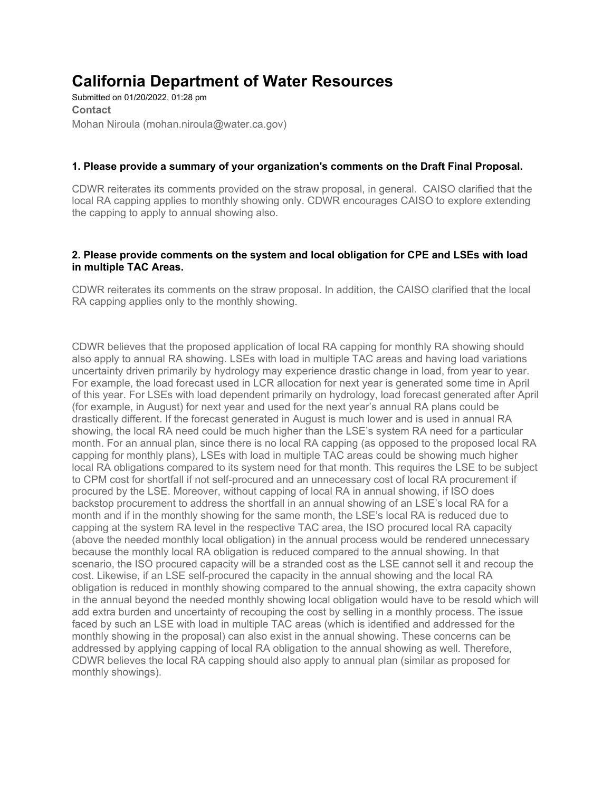# **California Department of Water Resources**

Submitted on 01/20/2022, 01:28 pm **Contact** Mohan Niroula (mohan.niroula@water.ca.gov)

# **1. Please provide a summary of your organization's comments on the Draft Final Proposal.**

CDWR reiterates its comments provided on the straw proposal, in general. CAISO clarified that the local RA capping applies to monthly showing only. CDWR encourages CAISO to explore extending the capping to apply to annual showing also.

# **2. Please provide comments on the system and local obligation for CPE and LSEs with load in multiple TAC Areas.**

CDWR reiterates its comments on the straw proposal. In addition, the CAISO clarified that the local RA capping applies only to the monthly showing.

CDWR believes that the proposed application of local RA capping for monthly RA showing should also apply to annual RA showing. LSEs with load in multiple TAC areas and having load variations uncertainty driven primarily by hydrology may experience drastic change in load, from year to year. For example, the load forecast used in LCR allocation for next year is generated some time in April of this year. For LSEs with load dependent primarily on hydrology, load forecast generated after April (for example, in August) for next year and used for the next year's annual RA plans could be drastically different. If the forecast generated in August is much lower and is used in annual RA showing, the local RA need could be much higher than the LSE's system RA need for a particular month. For an annual plan, since there is no local RA capping (as opposed to the proposed local RA capping for monthly plans), LSEs with load in multiple TAC areas could be showing much higher local RA obligations compared to its system need for that month. This requires the LSE to be subject to CPM cost for shortfall if not self-procured and an unnecessary cost of local RA procurement if procured by the LSE. Moreover, without capping of local RA in annual showing, if ISO does backstop procurement to address the shortfall in an annual showing of an LSE's local RA for a month and if in the monthly showing for the same month, the LSE's local RA is reduced due to capping at the system RA level in the respective TAC area, the ISO procured local RA capacity (above the needed monthly local obligation) in the annual process would be rendered unnecessary because the monthly local RA obligation is reduced compared to the annual showing. In that scenario, the ISO procured capacity will be a stranded cost as the LSE cannot sell it and recoup the cost. Likewise, if an LSE self-procured the capacity in the annual showing and the local RA obligation is reduced in monthly showing compared to the annual showing, the extra capacity shown in the annual beyond the needed monthly showing local obligation would have to be resold which will add extra burden and uncertainty of recouping the cost by selling in a monthly process. The issue faced by such an LSE with load in multiple TAC areas (which is identified and addressed for the monthly showing in the proposal) can also exist in the annual showing. These concerns can be addressed by applying capping of local RA obligation to the annual showing as well. Therefore, CDWR believes the local RA capping should also apply to annual plan (similar as proposed for monthly showings).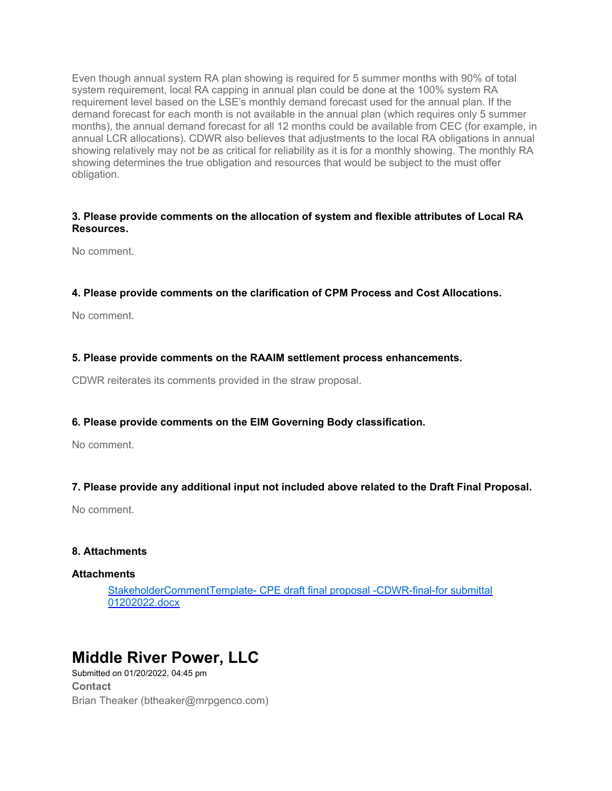Even though annual system RA plan showing is required for 5 summer months with 90% of total system requirement, local RA capping in annual plan could be done at the 100% system RA requirement level based on the LSE's monthly demand forecast used for the annual plan. If the demand forecast for each month is not available in the annual plan (which requires only 5 summer months), the annual demand forecast for all 12 months could be available from CEC (for example, in annual LCR allocations). CDWR also believes that adjustments to the local RA obligations in annual showing relatively may not be as critical for reliability as it is for a monthly showing. The monthly RA showing determines the true obligation and resources that would be subject to the must offer obligation.

# **3. Please provide comments on the allocation of system and flexible attributes of Local RA Resources.**

No comment.

# **4. Please provide comments on the clarification of CPM Process and Cost Allocations.**

No comment.

# **5. Please provide comments on the RAAIM settlement process enhancements.**

CDWR reiterates its comments provided in the straw proposal.

# **6. Please provide comments on the EIM Governing Body classification.**

No comment.

# **7. Please provide any additional input not included above related to the Draft Final Proposal.**

No comment.

# **8. Attachments**

# **Attachments**

[StakeholderCommentTemplate- CPE draft final proposal -CDWR-final-for submittal](https://stakeholdercenter.caiso.com/Common/DownloadFile/ad0040d3-a023-4af9-8561-687f55bedb6d)  [01202022.docx](https://stakeholdercenter.caiso.com/Common/DownloadFile/ad0040d3-a023-4af9-8561-687f55bedb6d)

# **Middle River Power, LLC**

Submitted on 01/20/2022, 04:45 pm **Contact** Brian Theaker (btheaker@mrpgenco.com)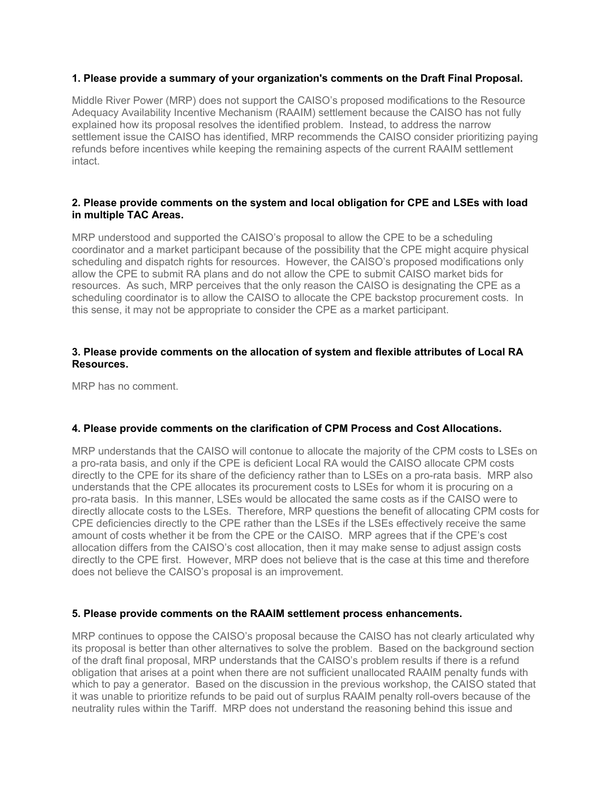# **1. Please provide a summary of your organization's comments on the Draft Final Proposal.**

Middle River Power (MRP) does not support the CAISO's proposed modifications to the Resource Adequacy Availability Incentive Mechanism (RAAIM) settlement because the CAISO has not fully explained how its proposal resolves the identified problem. Instead, to address the narrow settlement issue the CAISO has identified, MRP recommends the CAISO consider prioritizing paying refunds before incentives while keeping the remaining aspects of the current RAAIM settlement intact.

# **2. Please provide comments on the system and local obligation for CPE and LSEs with load in multiple TAC Areas.**

MRP understood and supported the CAISO's proposal to allow the CPE to be a scheduling coordinator and a market participant because of the possibility that the CPE might acquire physical scheduling and dispatch rights for resources. However, the CAISO's proposed modifications only allow the CPE to submit RA plans and do not allow the CPE to submit CAISO market bids for resources. As such, MRP perceives that the only reason the CAISO is designating the CPE as a scheduling coordinator is to allow the CAISO to allocate the CPE backstop procurement costs. In this sense, it may not be appropriate to consider the CPE as a market participant.

# **3. Please provide comments on the allocation of system and flexible attributes of Local RA Resources.**

MRP has no comment.

# **4. Please provide comments on the clarification of CPM Process and Cost Allocations.**

MRP understands that the CAISO will contonue to allocate the majority of the CPM costs to LSEs on a pro-rata basis, and only if the CPE is deficient Local RA would the CAISO allocate CPM costs directly to the CPE for its share of the deficiency rather than to LSEs on a pro-rata basis. MRP also understands that the CPE allocates its procurement costs to LSEs for whom it is procuring on a pro-rata basis. In this manner, LSEs would be allocated the same costs as if the CAISO were to directly allocate costs to the LSEs. Therefore, MRP questions the benefit of allocating CPM costs for CPE deficiencies directly to the CPE rather than the LSEs if the LSEs effectively receive the same amount of costs whether it be from the CPE or the CAISO. MRP agrees that if the CPE's cost allocation differs from the CAISO's cost allocation, then it may make sense to adjust assign costs directly to the CPE first. However, MRP does not believe that is the case at this time and therefore does not believe the CAISO's proposal is an improvement.

# **5. Please provide comments on the RAAIM settlement process enhancements.**

MRP continues to oppose the CAISO's proposal because the CAISO has not clearly articulated why its proposal is better than other alternatives to solve the problem. Based on the background section of the draft final proposal, MRP understands that the CAISO's problem results if there is a refund obligation that arises at a point when there are not sufficient unallocated RAAIM penalty funds with which to pay a generator. Based on the discussion in the previous workshop, the CAISO stated that it was unable to prioritize refunds to be paid out of surplus RAAIM penalty roll-overs because of the neutrality rules within the Tariff. MRP does not understand the reasoning behind this issue and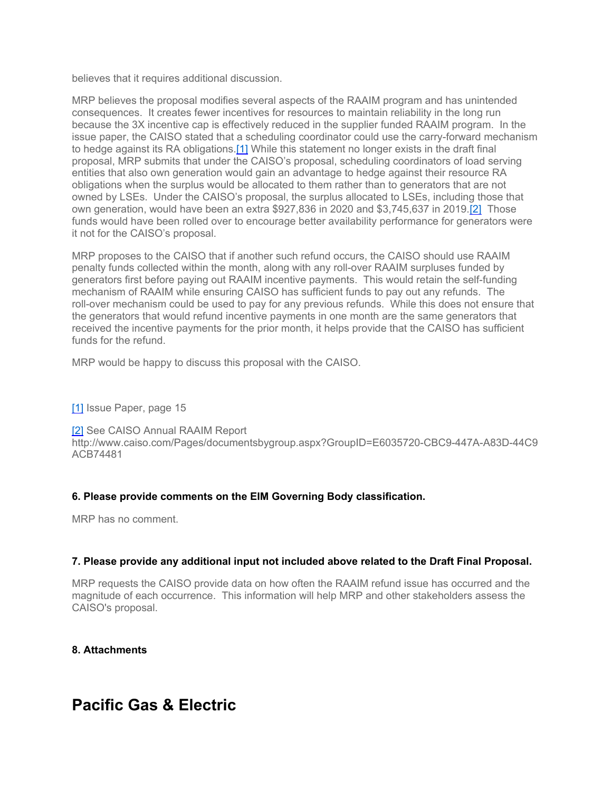believes that it requires additional discussion.

MRP believes the proposal modifies several aspects of the RAAIM program and has unintended consequences. It creates fewer incentives for resources to maintain reliability in the long run because the 3X incentive cap is effectively reduced in the supplier funded RAAIM program. In the issue paper, the CAISO stated that a scheduling coordinator could use the carry-forward mechanism to hedge against its RA obligations.[1] While this statement no longer exists in the draft final proposal, MRP submits that under the CAISO's proposal, scheduling coordinators of load serving entities that also own generation would gain an advantage to hedge against their resource RA obligations when the surplus would be allocated to them rather than to generators that are not owned by LSEs. Under the CAISO's proposal, the surplus allocated to LSEs, including those that own generation, would have been an extra \$927,836 in 2020 and \$3,745,637 in 2019.[2] Those funds would have been rolled over to encourage better availability performance for generators were it not for the CAISO's proposal.

MRP proposes to the CAISO that if another such refund occurs, the CAISO should use RAAIM penalty funds collected within the month, along with any roll-over RAAIM surpluses funded by generators first before paying out RAAIM incentive payments. This would retain the self-funding mechanism of RAAIM while ensuring CAISO has sufficient funds to pay out any refunds. The roll-over mechanism could be used to pay for any previous refunds. While this does not ensure that the generators that would refund incentive payments in one month are the same generators that received the incentive payments for the prior month, it helps provide that the CAISO has sufficient funds for the refund.

MRP would be happy to discuss this proposal with the CAISO.

[1] Issue Paper, page 15

[2] See CAISO Annual RAAIM Report http://www.caiso.com/Pages/documentsbygroup.aspx?GroupID=E6035720-CBC9-447A-A83D-44C9 ACB74481

# **6. Please provide comments on the EIM Governing Body classification.**

MRP has no comment.

# **7. Please provide any additional input not included above related to the Draft Final Proposal.**

MRP requests the CAISO provide data on how often the RAAIM refund issue has occurred and the magnitude of each occurrence. This information will help MRP and other stakeholders assess the CAISO's proposal.

**8. Attachments**

# **Pacific Gas & Electric**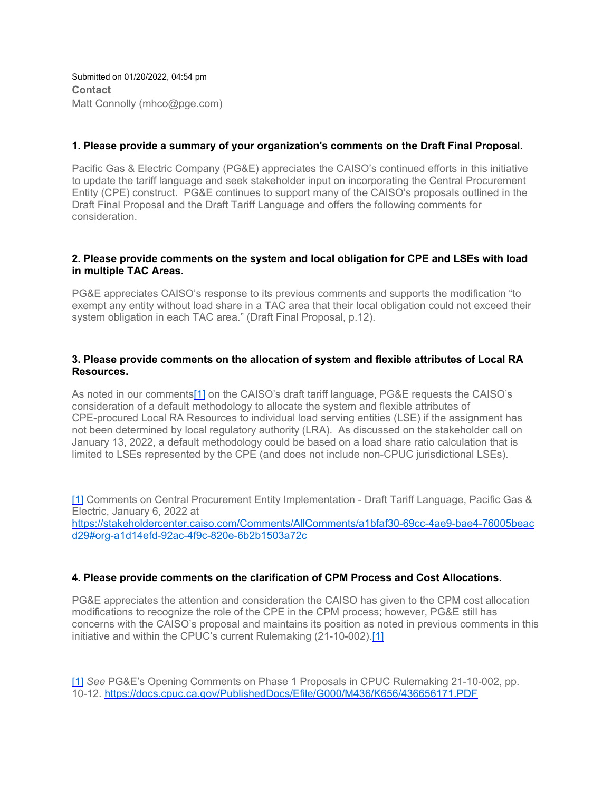Submitted on 01/20/2022, 04:54 pm **Contact** Matt Connolly (mhco@pge.com)

# **1. Please provide a summary of your organization's comments on the Draft Final Proposal.**

Pacific Gas & Electric Company (PG&E) appreciates the CAISO's continued efforts in this initiative to update the tariff language and seek stakeholder input on incorporating the Central Procurement Entity (CPE) construct. PG&E continues to support many of the CAISO's proposals outlined in the Draft Final Proposal and the Draft Tariff Language and offers the following comments for consideration.

# **2. Please provide comments on the system and local obligation for CPE and LSEs with load in multiple TAC Areas.**

PG&E appreciates CAISO's response to its previous comments and supports the modification "to exempt any entity without load share in a TAC area that their local obligation could not exceed their system obligation in each TAC area." (Draft Final Proposal, p.12).

# **3. Please provide comments on the allocation of system and flexible attributes of Local RA Resources.**

As noted in our comments[1] on the CAISO's draft tariff language, PG&E requests the CAISO's consideration of a default methodology to allocate the system and flexible attributes of CPE-procured Local RA Resources to individual load serving entities (LSE) if the assignment has not been determined by local regulatory authority (LRA). As discussed on the stakeholder call on January 13, 2022, a default methodology could be based on a load share ratio calculation that is limited to LSEs represented by the CPE (and does not include non-CPUC jurisdictional LSEs).

[1] Comments on Central Procurement Entity Implementation - Draft Tariff Language, Pacific Gas & Electric, January 6, 2022 at [https://stakeholdercenter.caiso.com/Comments/AllComments/a1bfaf30-69cc-4ae9-bae4-76005beac](https://stakeholdercenter.caiso.com/Comments/AllComments/a1bfaf30-69cc-4ae9-bae4-76005beacd29#org-a1d14efd-92ac-4f9c-820e-6b2b1503a72c) [d29#org-a1d14efd-92ac-4f9c-820e-6b2b1503a72c](https://stakeholdercenter.caiso.com/Comments/AllComments/a1bfaf30-69cc-4ae9-bae4-76005beacd29#org-a1d14efd-92ac-4f9c-820e-6b2b1503a72c)

# **4. Please provide comments on the clarification of CPM Process and Cost Allocations.**

PG&E appreciates the attention and consideration the CAISO has given to the CPM cost allocation modifications to recognize the role of the CPE in the CPM process; however, PG&E still has concerns with the CAISO's proposal and maintains its position as noted in previous comments in this initiative and within the CPUC's current Rulemaking (21-10-002).[1]

[1] *See* PG&E's Opening Comments on Phase 1 Proposals in CPUC Rulemaking 21-10-002, pp. 10-12. <https://docs.cpuc.ca.gov/PublishedDocs/Efile/G000/M436/K656/436656171.PDF>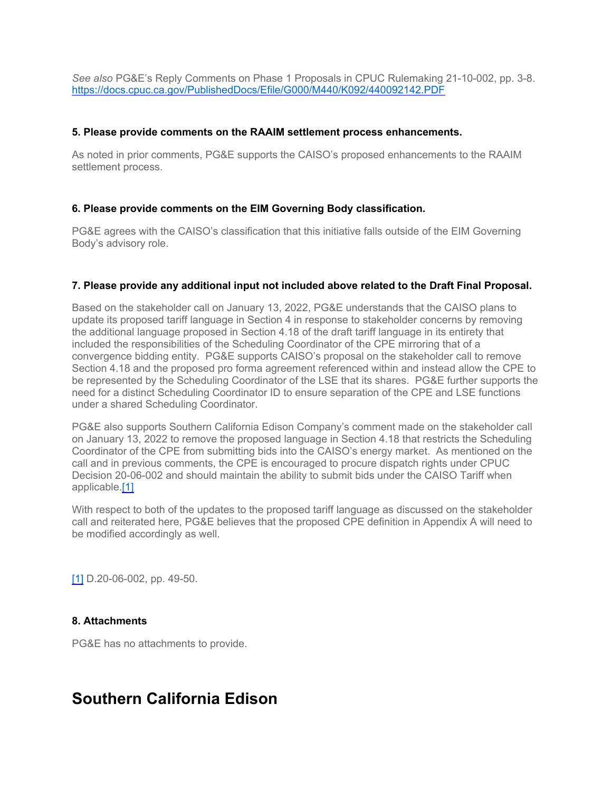*See also* PG&E's Reply Comments on Phase 1 Proposals in CPUC Rulemaking 21-10-002, pp. 3-8. <https://docs.cpuc.ca.gov/PublishedDocs/Efile/G000/M440/K092/440092142.PDF>

# **5. Please provide comments on the RAAIM settlement process enhancements.**

As noted in prior comments, PG&E supports the CAISO's proposed enhancements to the RAAIM settlement process.

#### **6. Please provide comments on the EIM Governing Body classification.**

PG&E agrees with the CAISO's classification that this initiative falls outside of the EIM Governing Body's advisory role.

#### **7. Please provide any additional input not included above related to the Draft Final Proposal.**

Based on the stakeholder call on January 13, 2022, PG&E understands that the CAISO plans to update its proposed tariff language in Section 4 in response to stakeholder concerns by removing the additional language proposed in Section 4.18 of the draft tariff language in its entirety that included the responsibilities of the Scheduling Coordinator of the CPE mirroring that of a convergence bidding entity. PG&E supports CAISO's proposal on the stakeholder call to remove Section 4.18 and the proposed pro forma agreement referenced within and instead allow the CPE to be represented by the Scheduling Coordinator of the LSE that its shares. PG&E further supports the need for a distinct Scheduling Coordinator ID to ensure separation of the CPE and LSE functions under a shared Scheduling Coordinator.

PG&E also supports Southern California Edison Company's comment made on the stakeholder call on January 13, 2022 to remove the proposed language in Section 4.18 that restricts the Scheduling Coordinator of the CPE from submitting bids into the CAISO's energy market. As mentioned on the call and in previous comments, the CPE is encouraged to procure dispatch rights under CPUC Decision 20-06-002 and should maintain the ability to submit bids under the CAISO Tariff when applicable.[1]

With respect to both of the updates to the proposed tariff language as discussed on the stakeholder call and reiterated here, PG&E believes that the proposed CPE definition in Appendix A will need to be modified accordingly as well.

[1] D.20-06-002, pp. 49-50.

# **8. Attachments**

PG&E has no attachments to provide.

# **Southern California Edison**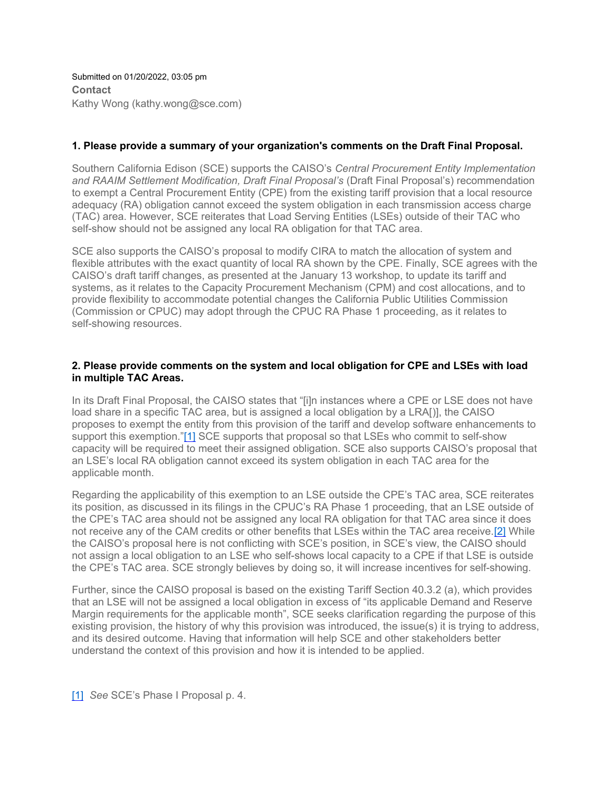Submitted on 01/20/2022, 03:05 pm **Contact** Kathy Wong (kathy.wong@sce.com)

# **1. Please provide a summary of your organization's comments on the Draft Final Proposal.**

Southern California Edison (SCE) supports the CAISO's *Central Procurement Entity Implementation and RAAIM Settlement Modification, Draft Final Proposal's* (Draft Final Proposal's) recommendation to exempt a Central Procurement Entity (CPE) from the existing tariff provision that a local resource adequacy (RA) obligation cannot exceed the system obligation in each transmission access charge (TAC) area. However, SCE reiterates that Load Serving Entities (LSEs) outside of their TAC who self-show should not be assigned any local RA obligation for that TAC area.

SCE also supports the CAISO's proposal to modify CIRA to match the allocation of system and flexible attributes with the exact quantity of local RA shown by the CPE. Finally, SCE agrees with the CAISO's draft tariff changes, as presented at the January 13 workshop, to update its tariff and systems, as it relates to the Capacity Procurement Mechanism (CPM) and cost allocations, and to provide flexibility to accommodate potential changes the California Public Utilities Commission (Commission or CPUC) may adopt through the CPUC RA Phase 1 proceeding, as it relates to self-showing resources.

# **2. Please provide comments on the system and local obligation for CPE and LSEs with load in multiple TAC Areas.**

In its Draft Final Proposal, the CAISO states that "[i]n instances where a CPE or LSE does not have load share in a specific TAC area, but is assigned a local obligation by a LRA[)], the CAISO proposes to exempt the entity from this provision of the tariff and develop software enhancements to support this exemption."[1] SCE supports that proposal so that LSEs who commit to self-show capacity will be required to meet their assigned obligation. SCE also supports CAISO's proposal that an LSE's local RA obligation cannot exceed its system obligation in each TAC area for the applicable month.

Regarding the applicability of this exemption to an LSE outside the CPE's TAC area, SCE reiterates its position, as discussed in its filings in the CPUC's RA Phase 1 proceeding, that an LSE outside of the CPE's TAC area should not be assigned any local RA obligation for that TAC area since it does not receive any of the CAM credits or other benefits that LSEs within the TAC area receive.[2] While the CAISO's proposal here is not conflicting with SCE's position, in SCE's view, the CAISO should not assign a local obligation to an LSE who self-shows local capacity to a CPE if that LSE is outside the CPE's TAC area. SCE strongly believes by doing so, it will increase incentives for self-showing.

Further, since the CAISO proposal is based on the existing Tariff Section 40.3.2 (a), which provides that an LSE will not be assigned a local obligation in excess of "its applicable Demand and Reserve Margin requirements for the applicable month", SCE seeks clarification regarding the purpose of this existing provision, the history of why this provision was introduced, the issue(s) it is trying to address, and its desired outcome. Having that information will help SCE and other stakeholders better understand the context of this provision and how it is intended to be applied.

[1] *See* SCE's Phase I Proposal p. 4.